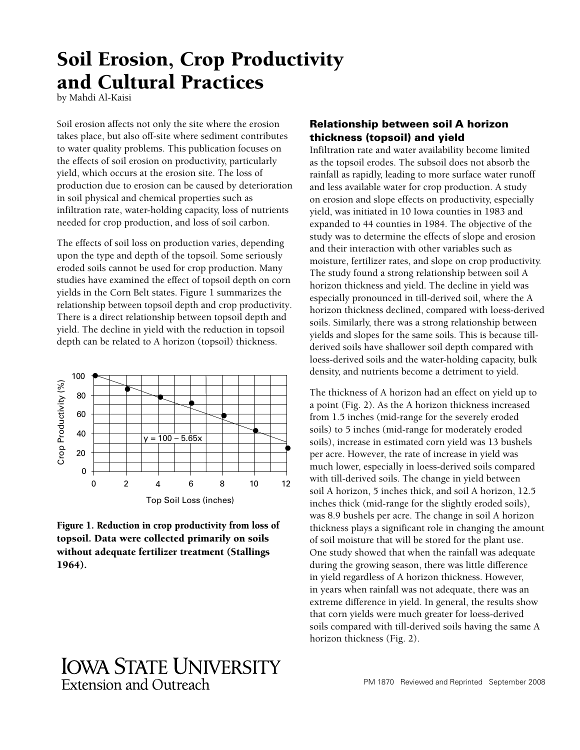# Soil Erosion, Crop Productivity and Cultural Practices

by Mahdi Al-Kaisi

Soil erosion affects not only the site where the erosion takes place, but also off-site where sediment contributes to water quality problems. This publication focuses on the effects of soil erosion on productivity, particularly yield, which occurs at the erosion site. The loss of production due to erosion can be caused by deterioration in soil physical and chemical properties such as infiltration rate, water-holding capacity, loss of nutrients needed for crop production, and loss of soil carbon.

The effects of soil loss on production varies, depending upon the type and depth of the topsoil. Some seriously eroded soils cannot be used for crop production. Many studies have examined the effect of topsoil depth on corn yields in the Corn Belt states. Figure 1 summarizes the relationship between topsoil depth and crop productivity. There is a direct relationship between topsoil depth and yield. The decline in yield with the reduction in topsoil depth can be related to A horizon (topsoil) thickness.





# **IOWA STATE UNIVERSITY** Extension and Outreach

## Relationship between soil A horizon thickness (topsoil) and yield

Infiltration rate and water availability become limited as the topsoil erodes. The subsoil does not absorb the rainfall as rapidly, leading to more surface water runoff and less available water for crop production. A study on erosion and slope effects on productivity, especially yield, was initiated in 10 Iowa counties in 1983 and expanded to 44 counties in 1984. The objective of the study was to determine the effects of slope and erosion and their interaction with other variables such as moisture, fertilizer rates, and slope on crop productivity. The study found a strong relationship between soil A horizon thickness and yield. The decline in yield was especially pronounced in till-derived soil, where the A horizon thickness declined, compared with loess-derived soils. Similarly, there was a strong relationship between yields and slopes for the same soils. This is because tillderived soils have shallower soil depth compared with loess-derived soils and the water-holding capacity, bulk density, and nutrients become a detriment to yield.

The thickness of A horizon had an effect on yield up to a point (Fig. 2). As the A horizon thickness increased from 1.5 inches (mid-range for the severely eroded soils) to 5 inches (mid-range for moderately eroded soils), increase in estimated corn yield was 13 bushels per acre. However, the rate of increase in yield was much lower, especially in loess-derived soils compared with till-derived soils. The change in yield between soil A horizon, 5 inches thick, and soil A horizon, 12.5 inches thick (mid-range for the slightly eroded soils), was 8.9 bushels per acre. The change in soil A horizon thickness plays a significant role in changing the amount of soil moisture that will be stored for the plant use. One study showed that when the rainfall was adequate during the growing season, there was little difference in yield regardless of A horizon thickness. However, in years when rainfall was not adequate, there was an extreme difference in yield. In general, the results show that corn yields were much greater for loess-derived soils compared with till-derived soils having the same A horizon thickness (Fig. 2).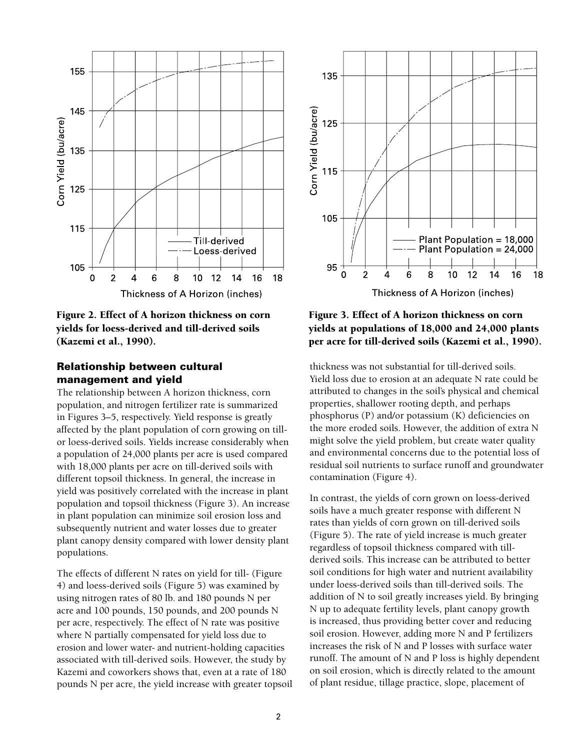

Figure 2. Effect of A horizon thickness on corn yields for loess-derived and till-derived soils (Kazemi et al., 1990).

### Relationship between cultural management and yield

The relationship between A horizon thickness, corn population, and nitrogen fertilizer rate is summarized in Figures 3–5, respectively. Yield response is greatly affected by the plant population of corn growing on tillor loess-derived soils. Yields increase considerably when a population of 24,000 plants per acre is used compared with 18,000 plants per acre on till-derived soils with different topsoil thickness. In general, the increase in yield was positively correlated with the increase in plant population and topsoil thickness (Figure 3). An increase in plant population can minimize soil erosion loss and subsequently nutrient and water losses due to greater plant canopy density compared with lower density plant populations.

The effects of different N rates on yield for till- (Figure 4) and loess-derived soils (Figure 5) was examined by using nitrogen rates of 80 lb. and 180 pounds N per acre and 100 pounds, 150 pounds, and 200 pounds N per acre, respectively. The effect of N rate was positive where N partially compensated for yield loss due to erosion and lower water- and nutrient-holding capacities associated with till-derived soils. However, the study by Kazemi and coworkers shows that, even at a rate of 180 pounds N per acre, the yield increase with greater topsoil



Figure 3. Effect of A horizon thickness on corn yields at populations of 18,000 and 24,000 plants per acre for till-derived soils (Kazemi et al., 1990).

thickness was not substantial for till-derived soils. Yield loss due to erosion at an adequate N rate could be attributed to changes in the soil's physical and chemical properties, shallower rooting depth, and perhaps phosphorus (P) and/or potassium (K) deficiencies on the more eroded soils. However, the addition of extra N might solve the yield problem, but create water quality and environmental concerns due to the potential loss of residual soil nutrients to surface runoff and groundwater contamination (Figure 4).

In contrast, the yields of corn grown on loess-derived soils have a much greater response with different N rates than yields of corn grown on till-derived soils (Figure 5). The rate of yield increase is much greater regardless of topsoil thickness compared with tillderived soils. This increase can be attributed to better soil conditions for high water and nutrient availability under loess-derived soils than till-derived soils. The addition of N to soil greatly increases yield. By bringing N up to adequate fertility levels, plant canopy growth is increased, thus providing better cover and reducing soil erosion. However, adding more N and P fertilizers increases the risk of N and P losses with surface water runoff. The amount of N and P loss is highly dependent on soil erosion, which is directly related to the amount of plant residue, tillage practice, slope, placement of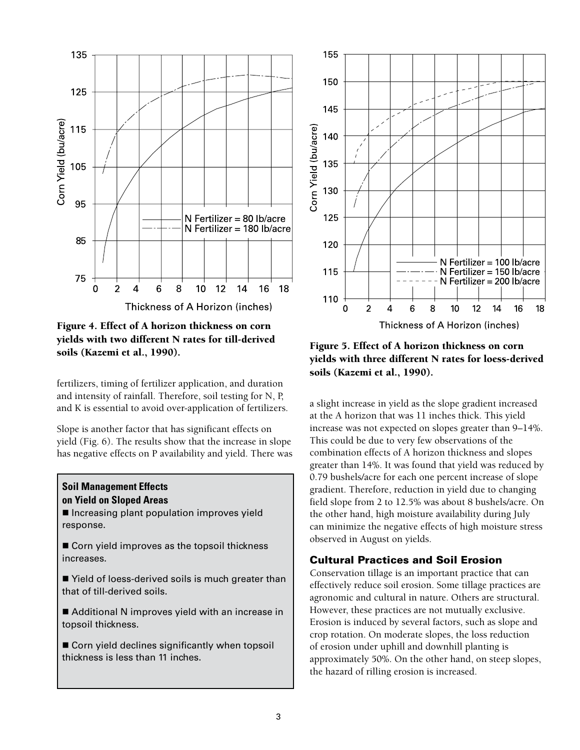

Figure 4. Effect of A horizon thickness on corn yields with two different N rates for till-derived soils (Kazemi et al., 1990).

fertilizers, timing of fertilizer application, and duration and intensity of rainfall. Therefore, soil testing for N, P, and K is essential to avoid over-application of fertilizers.

Slope is another factor that has significant effects on yield (Fig. 6). The results show that the increase in slope has negative effects on P availability and yield. There was

#### **Soil Management Effects on Yield on Sloped Areas**

**Increasing plant population improves yield** response.

■ Corn yield improves as the topsoil thickness increases.

■ Yield of loess-derived soils is much greater than that of till-derived soils.

■ Additional N improves yield with an increase in topsoil thickness.

Corn yield declines significantly when topsoil thickness is less than 11 inches.



Figure 5. Effect of A horizon thickness on corn yields with three different N rates for loess-derived soils (Kazemi et al., 1990).

a slight increase in yield as the slope gradient increased at the A horizon that was 11 inches thick. This yield increase was not expected on slopes greater than 9–14%. This could be due to very few observations of the combination effects of A horizon thickness and slopes greater than 14%. It was found that yield was reduced by 0.79 bushels/acre for each one percent increase of slope gradient. Therefore, reduction in yield due to changing field slope from 2 to 12.5% was about 8 bushels/acre. On the other hand, high moisture availability during July can minimize the negative effects of high moisture stress observed in August on yields.

#### Cultural Practices and Soil Erosion

Conservation tillage is an important practice that can effectively reduce soil erosion. Some tillage practices are agronomic and cultural in nature. Others are structural. However, these practices are not mutually exclusive. Erosion is induced by several factors, such as slope and crop rotation. On moderate slopes, the loss reduction of erosion under uphill and downhill planting is approximately 50%. On the other hand, on steep slopes, the hazard of rilling erosion is increased.